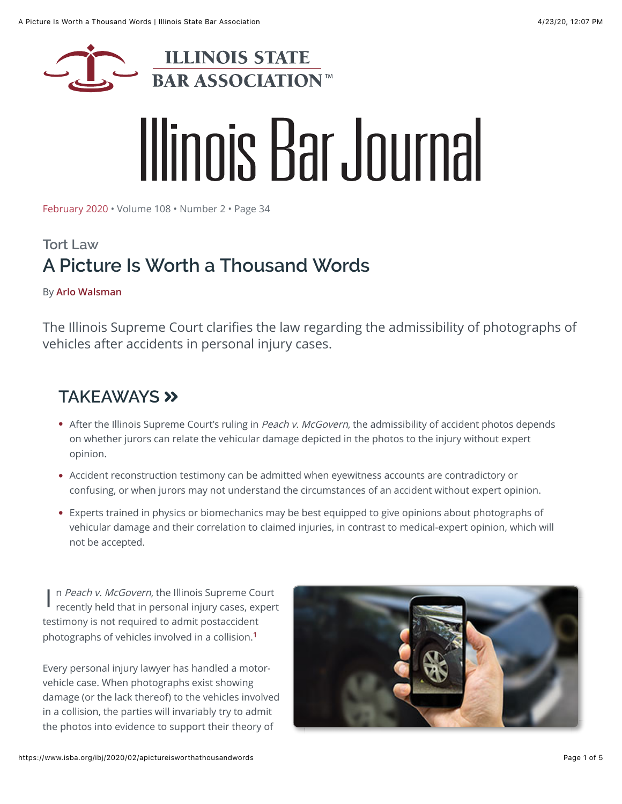

# Illinois Bar Journal

[February 2020](https://www.isba.org/ibj/2020/02) • Volume 108 • Number 2 • Page 34

## **Tort Law A Picture Is Worth a Thousand Words**

#### By **[Arlo Walsman](https://www.isba.org/ibj/authors/walsmanarlo)**

The Illinois Supreme Court clarifies the law regarding the admissibility of photographs of vehicles after accidents in personal injury cases.

### **TAKEAWAYS**

- After the Illinois Supreme Court's ruling in Peach v. McGovern, the admissibility of accident photos depends on whether jurors can relate the vehicular damage depicted in the photos to the injury without expert opinion.
- Accident reconstruction testimony can be admitted when eyewitness accounts are contradictory or confusing, or when jurors may not understand the circumstances of an accident without expert opinion.
- Experts trained in physics or biomechanics may be best equipped to give opinions about photographs of vehicular damage and their correlation to claimed injuries, in contrast to medical-expert opinion, which will not be accepted.

I n Peach v. McGovern, the Illinois Supreme Court recently held that in personal injury cases, expert testimony is not required to admit postaccident photographs of vehicles involved in a collision.**[1](#page-3-0)**

Every personal injury lawyer has handled a motorvehicle case. When photographs exist showing damage (or the lack thereof) to the vehicles involved in a collision, the parties will invariably try to admit the photos into evidence to support their theory of

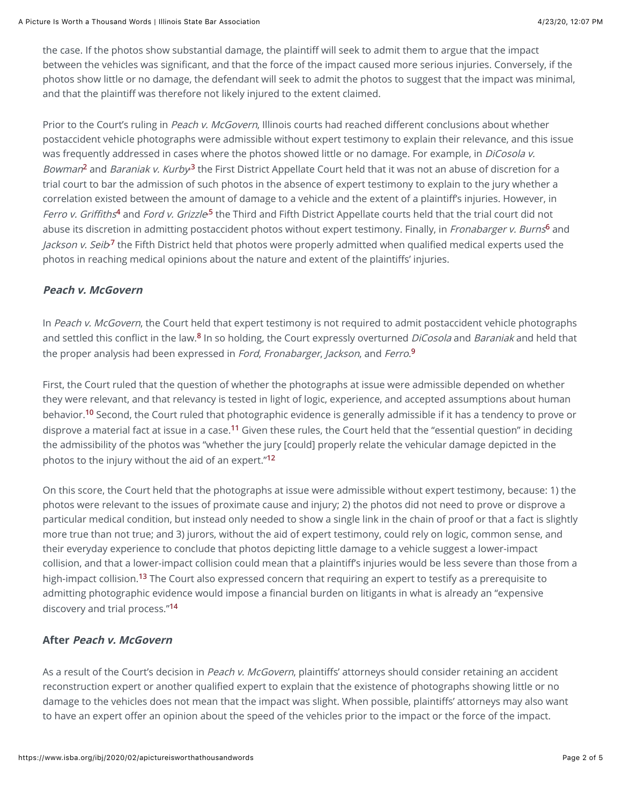the case. If the photos show substantial damage, the plaintiff will seek to admit them to argue that the impact between the vehicles was significant, and that the force of the impact caused more serious injuries. Conversely, if the photos show little or no damage, the defendant will seek to admit the photos to suggest that the impact was minimal, and that the plaintiff was therefore not likely injured to the extent claimed.

Prior to the Court's ruling in Peach v. McGovern, Illinois courts had reached different conclusions about whether postaccident vehicle photographs were admissible without expert testimony to explain their relevance, and this issue was frequently addressed in cases where the photos showed little or no damage. For example, in DiCosola v. Bowman<sup>[2](#page-3-0)</sup> and Baraniak v. Kurby<sup>3</sup> the First District Appellate Court held that it was not an abuse of discretion for a trial court to bar the admission of such photos in the absence of expert testimony to explain to the jury whether a correlation existed between the amount of damage to a vehicle and the extent of a plaintiff's injuries. However, in Ferro v. Griffiths<sup>[4](#page-3-0)</sup> and Ford v. Grizzle<sup>5</sup> the Third and Fifth District Appellate courts held that the trial court did not abuse its discretion in admitting postaccident photos without expert testimony. Finally, in Fronabarger v. Burns**[6](#page-3-0)** and Jackson v. Seib<sup>7</sup> the Fifth District held that photos were properly admitted when qualified medical experts used the photos in reaching medical opinions about the nature and extent of the plaintiffs' injuries.

#### **Peach v. McGovern**

In Peach v. McGovern, the Court held that expert testimony is not required to admit postaccident vehicle photographs and settled this conflict in the law.**[8](#page-3-0)** In so holding, the Court expressly overturned DiCosola and Baraniak and held that the proper analysis had been expressed in Ford, Fronabarger, Jackson, and Ferro. **[9](#page-3-0)**

First, the Court ruled that the question of whether the photographs at issue were admissible depended on whether they were relevant, and that relevancy is tested in light of logic, experience, and accepted assumptions about human behavior.**[10](#page-3-0)** Second, the Court ruled that photographic evidence is generally admissible if it has a tendency to prove or disprove a material fact at issue in a case.**[11](#page-3-0)** Given these rules, the Court held that the "essential question" in deciding the admissibility of the photos was "whether the jury [could] properly relate the vehicular damage depicted in the photos to the injury without the aid of an expert."**[12](#page-3-0)**

On this score, the Court held that the photographs at issue were admissible without expert testimony, because: 1) the photos were relevant to the issues of proximate cause and injury; 2) the photos did not need to prove or disprove a particular medical condition, but instead only needed to show a single link in the chain of proof or that a fact is slightly more true than not true; and 3) jurors, without the aid of expert testimony, could rely on logic, common sense, and their everyday experience to conclude that photos depicting little damage to a vehicle suggest a lower-impact collision, and that a lower-impact collision could mean that a plaintiff's injuries would be less severe than those from a high-impact collision.**[13](#page-3-0)** The Court also expressed concern that requiring an expert to testify as a prerequisite to admitting photographic evidence would impose a financial burden on litigants in what is already an "expensive discovery and trial process."**[14](#page-3-0)**

#### **After Peach v. McGovern**

As a result of the Court's decision in Peach v. McGovern, plaintiffs' attorneys should consider retaining an accident reconstruction expert or another qualified expert to explain that the existence of photographs showing little or no damage to the vehicles does not mean that the impact was slight. When possible, plaintiffs' attorneys may also want to have an expert offer an opinion about the speed of the vehicles prior to the impact or the force of the impact.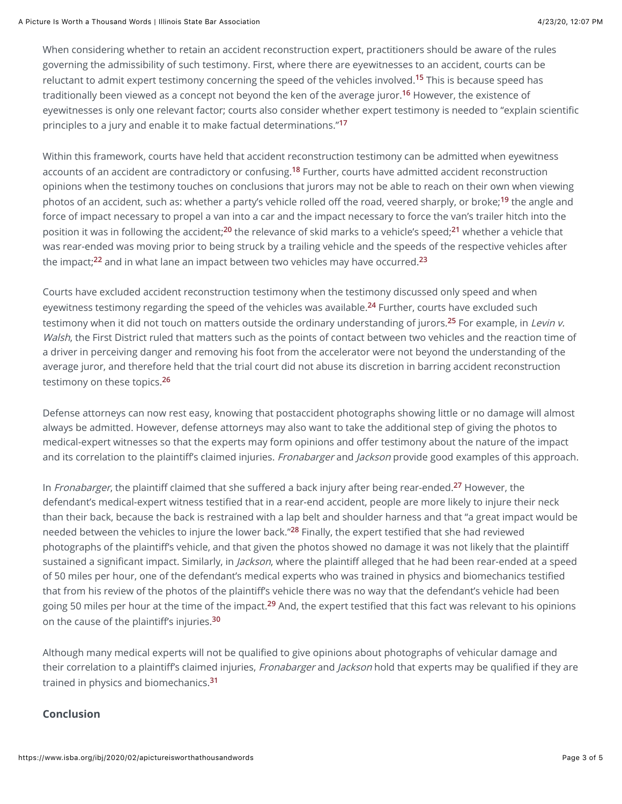When considering whether to retain an accident reconstruction expert, practitioners should be aware of the rules governing the admissibility of such testimony. First, where there are eyewitnesses to an accident, courts can be reluctant to admit expert testimony concerning the speed of the vehicles involved.**[15](#page-3-0)** This is because speed has traditionally been viewed as a concept not beyond the ken of the average juror.**[16](#page-3-0)** However, the existence of eyewitnesses is only one relevant factor; courts also consider whether expert testimony is needed to "explain scientific principles to a jury and enable it to make factual determinations."**[17](#page-3-0)**

Within this framework, courts have held that accident reconstruction testimony can be admitted when eyewitness accounts of an accident are contradictory or confusing.**[18](#page-3-0)** Further, courts have admitted accident reconstruction opinions when the testimony touches on conclusions that jurors may not be able to reach on their own when viewing photos of an accident, such as: whether a party's vehicle rolled off the road, veered sharply, or broke;**[19](#page-3-0)** the angle and force of impact necessary to propel a van into a car and the impact necessary to force the van's trailer hitch into the position it was in following the accident;**[20](#page-3-0)** the relevance of skid marks to a vehicle's speed;**[21](#page-3-0)** whether a vehicle that was rear-ended was moving prior to being struck by a trailing vehicle and the speeds of the respective vehicles after the impact;**[22](#page-3-0)** and in what lane an impact between two vehicles may have occurred.**[23](#page-3-0)**

Courts have excluded accident reconstruction testimony when the testimony discussed only speed and when eyewitness testimony regarding the speed of the vehicles was available.**[24](#page-3-0)** Further, courts have excluded such testimony when it did not touch on matters outside the ordinary understanding of jurors.**[25](#page-3-0)** For example, in Levin v. Walsh, the First District ruled that matters such as the points of contact between two vehicles and the reaction time of a driver in perceiving danger and removing his foot from the accelerator were not beyond the understanding of the average juror, and therefore held that the trial court did not abuse its discretion in barring accident reconstruction testimony on these topics.**[26](#page-3-0)**

Defense attorneys can now rest easy, knowing that postaccident photographs showing little or no damage will almost always be admitted. However, defense attorneys may also want to take the additional step of giving the photos to medical-expert witnesses so that the experts may form opinions and offer testimony about the nature of the impact and its correlation to the plaintiff's claimed injuries. Fronabarger and Jackson provide good examples of this approach.

In Fronabarger, the plaintiff claimed that she suffered a back injury after being rear-ended.**[27](#page-3-0)** However, the defendant's medical-expert witness testified that in a rear-end accident, people are more likely to injure their neck than their back, because the back is restrained with a lap belt and shoulder harness and that "a great impact would be needed between the vehicles to injure the lower back."**[28](#page-3-0)** Finally, the expert testified that she had reviewed photographs of the plaintiff's vehicle, and that given the photos showed no damage it was not likely that the plaintiff sustained a significant impact. Similarly, in *Jackson*, where the plaintiff alleged that he had been rear-ended at a speed of 50 miles per hour, one of the defendant's medical experts who was trained in physics and biomechanics testified that from his review of the photos of the plaintiff's vehicle there was no way that the defendant's vehicle had been going 50 miles per hour at the time of the impact.**[29](#page-3-0)** And, the expert testified that this fact was relevant to his opinions on the cause of the plaintiff's injuries.**[30](#page-3-0)**

Although many medical experts will not be qualified to give opinions about photographs of vehicular damage and their correlation to a plaintiff's claimed injuries, Fronabarger and Jackson hold that experts may be qualified if they are trained in physics and biomechanics.**[31](#page-3-0)**

#### **Conclusion**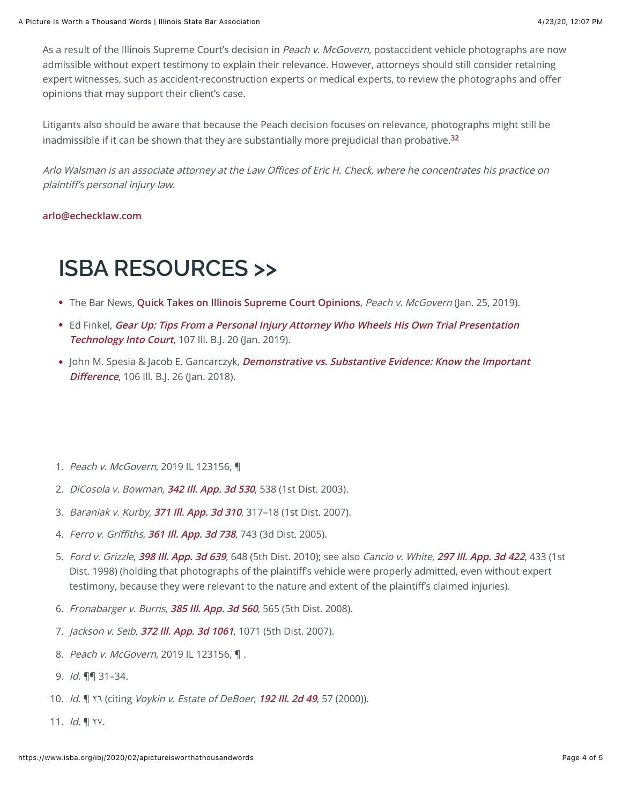As a result of the Illinois Supreme Court's decision in Peach v. McGovern, postaccident vehicle photographs are now admissible without expert testimony to explain their relevance. However, attorneys should still consider retaining expert witnesses, such as accident-reconstruction experts or medical experts, to review the photographs and offer opinions that may support their client's case.

Litigants also should be aware that because the Peach decision focuses on relevance, photographs might still be inadmissible if it can be shown that they are substantially more prejudicial than probative.**[32](#page-3-0)**

Arlo Walsman is an associate attorney at the Law Offices of Eric H. Check, where he concentrates his practice on plaintiff's personal injury law.

#### **[arlo@echecklaw.com](mailto:arlo@echecklaw.com)**

# **ISBA RESOURCES >>**

- The Bar News, **[Quick Takes on Illinois Supreme Court Opinions](https://www.isba.org/barnews/2019/01/quicktakesonillinoissupremecourtopi0)**, Peach v. McGovern (Jan. 25, 2019).
- Ed Finkel, **[Gear Up: Tips From a Personal Injury Attorney Who Wheels His Own Trial Presentation](https://www.isba.org/ibj/2019/01/gearup) Technology Into Court**, 107 Ill. B.J. 20 (Jan. 2019).
- John M. Spesia & Jacob E. Gancarczyk, **[Demonstrative vs. Substantive Evidence: Know the Important](https://www.isba.org/ibj/2018/01/demonstrativevsubstantiveevidenceknowimp) Difference**, 106 Ill. B.J. 26 (Jan. 2018).
- <span id="page-3-0"></span>1. Peach v. McGovern, 2019 IL 123156, ¶
- 2. DiCosola v. Bowman, **[342 Ill. App. 3d 530](https://apps.fastcase.com/Research/Login/SignIn.aspx?Username=267570&LastName=Walsman&FirstName=Arlo&PassKey=631425152&CompanyUID=6C9F9550-3C3F-4470-942B-314449BD808A&LogoutURL=https://www.isba.org&ReturnUrl=/Research/Pages/CitationLookup.aspx?ECF=342%20Ill.%20App.%203d%20530)**, 538 (1st Dist. 2003).
- 3. Baraniak v. Kurby, **[371 Ill. App. 3d 310](https://apps.fastcase.com/Research/Login/SignIn.aspx?Username=267570&LastName=Walsman&FirstName=Arlo&PassKey=631425152&CompanyUID=6C9F9550-3C3F-4470-942B-314449BD808A&LogoutURL=https://www.isba.org&ReturnUrl=/Research/Pages/CitationLookup.aspx?ECF=371%20Ill.%20App.%203d%20310)**, 317–18 (1st Dist. 2007).
- 4. Ferro v. Griffiths, **[361 Ill. App. 3d 738](https://apps.fastcase.com/Research/Login/SignIn.aspx?Username=267570&LastName=Walsman&FirstName=Arlo&PassKey=631425152&CompanyUID=6C9F9550-3C3F-4470-942B-314449BD808A&LogoutURL=https://www.isba.org&ReturnUrl=/Research/Pages/CitationLookup.aspx?ECF=361%20Ill.%20App.%203d%20738)**, 743 (3d Dist. 2005).
- 5. Ford v. Grizzle, **[398 Ill. App. 3d 639](https://apps.fastcase.com/Research/Login/SignIn.aspx?Username=267570&LastName=Walsman&FirstName=Arlo&PassKey=631425152&CompanyUID=6C9F9550-3C3F-4470-942B-314449BD808A&LogoutURL=https://www.isba.org&ReturnUrl=/Research/Pages/CitationLookup.aspx?ECF=398%20Ill.%20App.%203d%20639)**, 648 (5th Dist. 2010); see also Cancio v. White, **[297 Ill. App. 3d 422](https://apps.fastcase.com/Research/Login/SignIn.aspx?Username=267570&LastName=Walsman&FirstName=Arlo&PassKey=631425152&CompanyUID=6C9F9550-3C3F-4470-942B-314449BD808A&LogoutURL=https://www.isba.org&ReturnUrl=/Research/Pages/CitationLookup.aspx?ECF=297%20Ill.%20App.%203d%20422)**, 433 (1st Dist. 1998) (holding that photographs of the plaintiff's vehicle were properly admitted, even without expert testimony, because they were relevant to the nature and extent of the plaintiff's claimed injuries).
- 6. Fronabarger v. Burns, **[385 Ill. App. 3d 560](https://apps.fastcase.com/Research/Login/SignIn.aspx?Username=267570&LastName=Walsman&FirstName=Arlo&PassKey=631425152&CompanyUID=6C9F9550-3C3F-4470-942B-314449BD808A&LogoutURL=https://www.isba.org&ReturnUrl=/Research/Pages/CitationLookup.aspx?ECF=385%20Ill.%20App.%203d%20560)**, 565 (5th Dist. 2008).
- 7. Jackson v. Seib, **[372 Ill. App. 3d 1061](https://apps.fastcase.com/Research/Login/SignIn.aspx?Username=267570&LastName=Walsman&FirstName=Arlo&PassKey=631425152&CompanyUID=6C9F9550-3C3F-4470-942B-314449BD808A&LogoutURL=https://www.isba.org&ReturnUrl=/Research/Pages/CitationLookup.aspx?ECF=372%20Ill.%20App.%203d%201061)**, 1071 (5th Dist. 2007).
- 8. Peach v. McGovern, 2019 IL 123156, ¶.
- 9. Id. ¶¶ 31–34.
- 10. Id. ¶ ٢٦ (citing Voykin v. Estate of DeBoer, **[192 Ill. 2d 49](https://apps.fastcase.com/Research/Login/SignIn.aspx?Username=267570&LastName=Walsman&FirstName=Arlo&PassKey=631425152&CompanyUID=6C9F9550-3C3F-4470-942B-314449BD808A&LogoutURL=https://www.isba.org&ReturnUrl=/Research/Pages/CitationLookup.aspx?ECF=192%20Ill.%202d%2049)**, 57 (2000)).
- 11. Id. ¶ ٢٧.